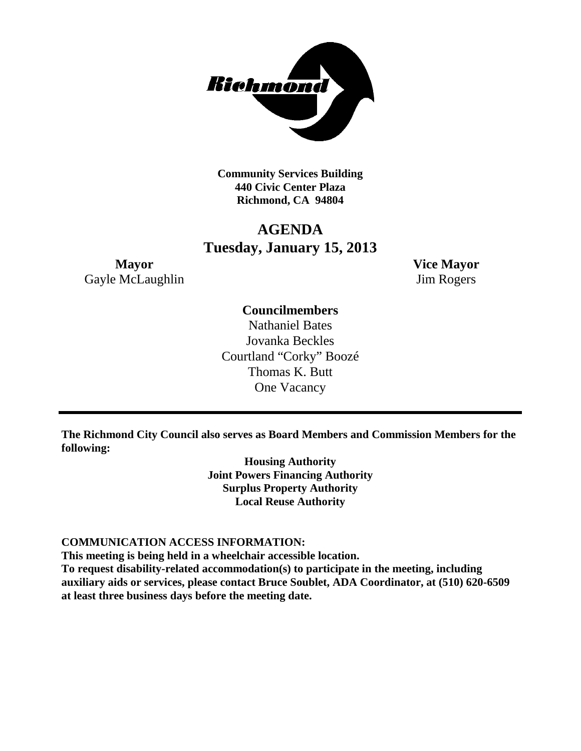

**Community Services Building 440 Civic Center Plaza Richmond, CA 94804**

# **AGENDA Tuesday, January 15, 2013**

**Mayor Vice Mayor** Gayle McLaughlin Jim Rogers

## **Councilmembers**

Nathaniel Bates Jovanka Beckles Courtland "Corky" Boozé Thomas K. Butt One Vacancy

**The Richmond City Council also serves as Board Members and Commission Members for the following:**

> **Housing Authority Joint Powers Financing Authority Surplus Property Authority Local Reuse Authority**

### **COMMUNICATION ACCESS INFORMATION:**

**This meeting is being held in a wheelchair accessible location.**

**To request disability-related accommodation(s) to participate in the meeting, including auxiliary aids or services, please contact Bruce Soublet, ADA Coordinator, at (510) 620-6509 at least three business days before the meeting date.**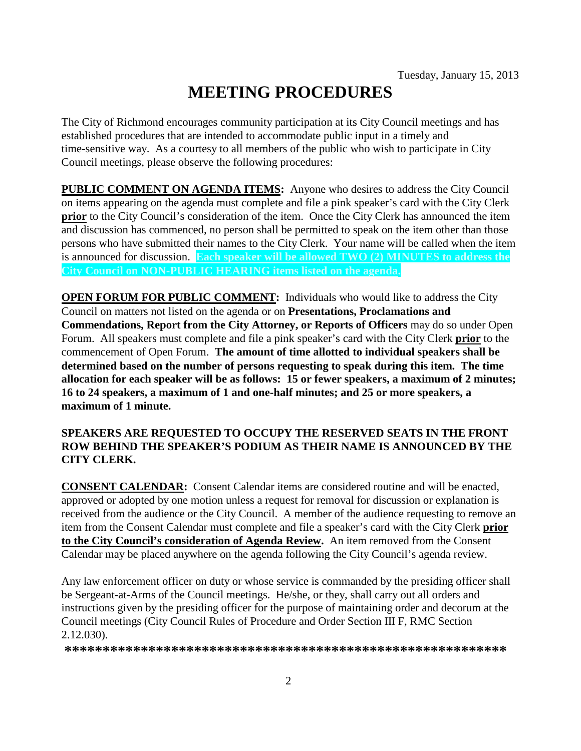# **MEETING PROCEDURES**

The City of Richmond encourages community participation at its City Council meetings and has established procedures that are intended to accommodate public input in a timely and time-sensitive way. As a courtesy to all members of the public who wish to participate in City Council meetings, please observe the following procedures:

**PUBLIC COMMENT ON AGENDA ITEMS:** Anyone who desires to address the City Council on items appearing on the agenda must complete and file a pink speaker's card with the City Clerk **prior** to the City Council's consideration of the item. Once the City Clerk has announced the item and discussion has commenced, no person shall be permitted to speak on the item other than those persons who have submitted their names to the City Clerk. Your name will be called when the item is announced for discussion. **Each speaker will be allowed TWO (2) MINUTES to address the City Council on NON-PUBLIC HEARING items listed on the agenda.**

**OPEN FORUM FOR PUBLIC COMMENT:** Individuals who would like to address the City Council on matters not listed on the agenda or on **Presentations, Proclamations and Commendations, Report from the City Attorney, or Reports of Officers** may do so under Open Forum. All speakers must complete and file a pink speaker's card with the City Clerk **prior** to the commencement of Open Forum. **The amount of time allotted to individual speakers shall be determined based on the number of persons requesting to speak during this item. The time allocation for each speaker will be as follows: 15 or fewer speakers, a maximum of 2 minutes; 16 to 24 speakers, a maximum of 1 and one-half minutes; and 25 or more speakers, a maximum of 1 minute.**

### **SPEAKERS ARE REQUESTED TO OCCUPY THE RESERVED SEATS IN THE FRONT ROW BEHIND THE SPEAKER'S PODIUM AS THEIR NAME IS ANNOUNCED BY THE CITY CLERK.**

**CONSENT CALENDAR:** Consent Calendar items are considered routine and will be enacted, approved or adopted by one motion unless a request for removal for discussion or explanation is received from the audience or the City Council. A member of the audience requesting to remove an item from the Consent Calendar must complete and file a speaker's card with the City Clerk **prior to the City Council's consideration of Agenda Review.** An item removed from the Consent Calendar may be placed anywhere on the agenda following the City Council's agenda review.

Any law enforcement officer on duty or whose service is commanded by the presiding officer shall be Sergeant-at-Arms of the Council meetings. He/she, or they, shall carry out all orders and instructions given by the presiding officer for the purpose of maintaining order and decorum at the Council meetings (City Council Rules of Procedure and Order Section III F, RMC Section 2.12.030).

**\*\*\*\*\*\*\*\*\*\*\*\*\*\*\*\*\*\*\*\*\*\*\*\*\*\*\*\*\*\*\*\*\*\*\*\*\*\*\*\*\*\*\*\*\*\*\*\*\*\*\*\*\*\*\*\*\*\***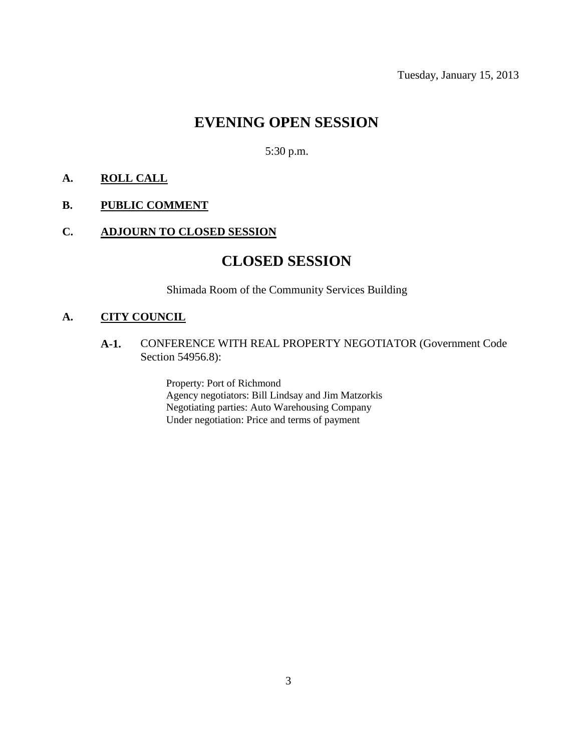Tuesday, January 15, 2013

# **EVENING OPEN SESSION**

5:30 p.m.

### **A. ROLL CALL**

### **B. PUBLIC COMMENT**

### **C. ADJOURN TO CLOSED SESSION**

# **CLOSED SESSION**

Shimada Room of the Community Services Building

### **A. CITY COUNCIL**

**A-1.** CONFERENCE WITH REAL PROPERTY NEGOTIATOR (Government Code Section 54956.8):

> Property: Port of Richmond Agency negotiators: Bill Lindsay and Jim Matzorkis Negotiating parties: Auto Warehousing Company Under negotiation: Price and terms of payment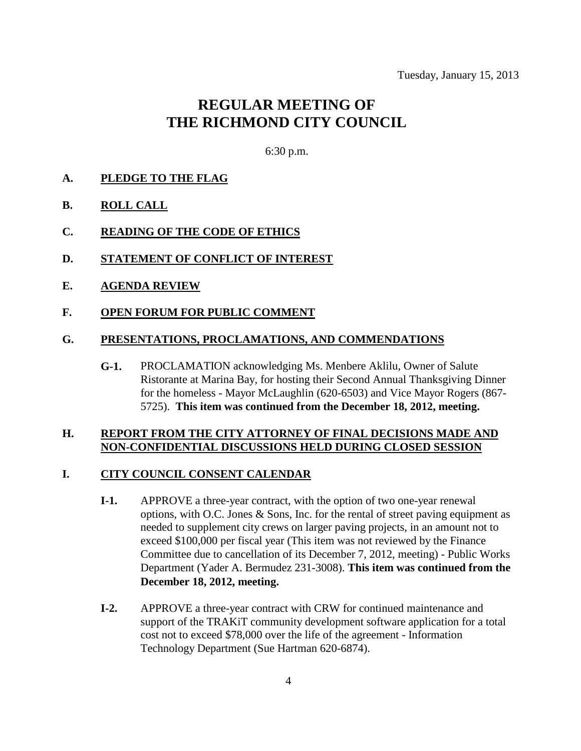# **REGULAR MEETING OF THE RICHMOND CITY COUNCIL**

6:30 p.m.

### **A. PLEDGE TO THE FLAG**

- **B. ROLL CALL**
- **C. READING OF THE CODE OF ETHICS**
- **D. STATEMENT OF CONFLICT OF INTEREST**
- **E. AGENDA REVIEW**
- **F. OPEN FORUM FOR PUBLIC COMMENT**

#### **G. PRESENTATIONS, PROCLAMATIONS, AND COMMENDATIONS**

**G-1.** PROCLAMATION acknowledging Ms. Menbere Aklilu, Owner of Salute Ristorante at Marina Bay, for hosting their Second Annual Thanksgiving Dinner for the homeless - Mayor McLaughlin (620-6503) and Vice Mayor Rogers (867- 5725). **This item was continued from the December 18, 2012, meeting.**

### **H. REPORT FROM THE CITY ATTORNEY OF FINAL DECISIONS MADE AND NON-CONFIDENTIAL DISCUSSIONS HELD DURING CLOSED SESSION**

#### **I. CITY COUNCIL CONSENT CALENDAR**

- **I-1.** APPROVE a three-year contract, with the option of two one-year renewal options, with O.C. Jones & Sons, Inc. for the rental of street paving equipment as needed to supplement city crews on larger paving projects, in an amount not to exceed \$100,000 per fiscal year (This item was not reviewed by the Finance Committee due to cancellation of its December 7, 2012, meeting) - Public Works Department (Yader A. Bermudez 231-3008). **This item was continued from the December 18, 2012, meeting.**
- **I-2.** APPROVE a three-year contract with CRW for continued maintenance and support of the TRAKiT community development software application for a total cost not to exceed \$78,000 over the life of the agreement - Information Technology Department (Sue Hartman 620-6874).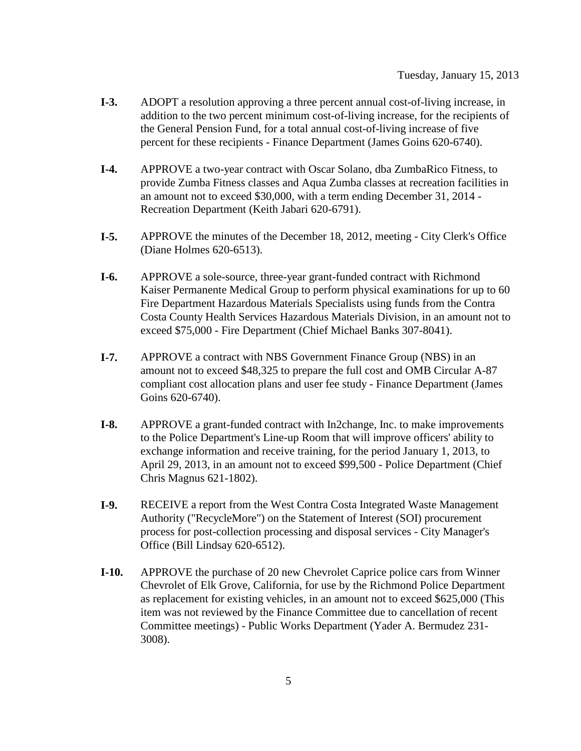- **I-3.** ADOPT a resolution approving a three percent annual cost-of-living increase, in addition to the two percent minimum cost-of-living increase, for the recipients of the General Pension Fund, for a total annual cost-of-living increase of five percent for these recipients - Finance Department (James Goins 620-6740).
- **I-4.** APPROVE a two-year contract with Oscar Solano, dba ZumbaRico Fitness, to provide Zumba Fitness classes and Aqua Zumba classes at recreation facilities in an amount not to exceed \$30,000, with a term ending December 31, 2014 - Recreation Department (Keith Jabari 620-6791).
- **I-5.** APPROVE the minutes of the December 18, 2012, meeting City Clerk's Office (Diane Holmes 620-6513).
- **I-6.** APPROVE a sole-source, three-year grant-funded contract with Richmond Kaiser Permanente Medical Group to perform physical examinations for up to 60 Fire Department Hazardous Materials Specialists using funds from the Contra Costa County Health Services Hazardous Materials Division, in an amount not to exceed \$75,000 - Fire Department (Chief Michael Banks 307-8041).
- **I-7.** APPROVE a contract with NBS Government Finance Group (NBS) in an amount not to exceed \$48,325 to prepare the full cost and OMB Circular A-87 compliant cost allocation plans and user fee study - Finance Department (James Goins 620-6740).
- **I-8.** APPROVE a grant-funded contract with In2change, Inc. to make improvements to the Police Department's Line-up Room that will improve officers' ability to exchange information and receive training, for the period January 1, 2013, to April 29, 2013, in an amount not to exceed \$99,500 - Police Department (Chief Chris Magnus 621-1802).
- **I-9.** RECEIVE a report from the West Contra Costa Integrated Waste Management Authority ("RecycleMore") on the Statement of Interest (SOI) procurement process for post-collection processing and disposal services - City Manager's Office (Bill Lindsay 620-6512).
- **I-10.** APPROVE the purchase of 20 new Chevrolet Caprice police cars from Winner Chevrolet of Elk Grove, California, for use by the Richmond Police Department as replacement for existing vehicles, in an amount not to exceed \$625,000 (This item was not reviewed by the Finance Committee due to cancellation of recent Committee meetings) - Public Works Department (Yader A. Bermudez 231- 3008).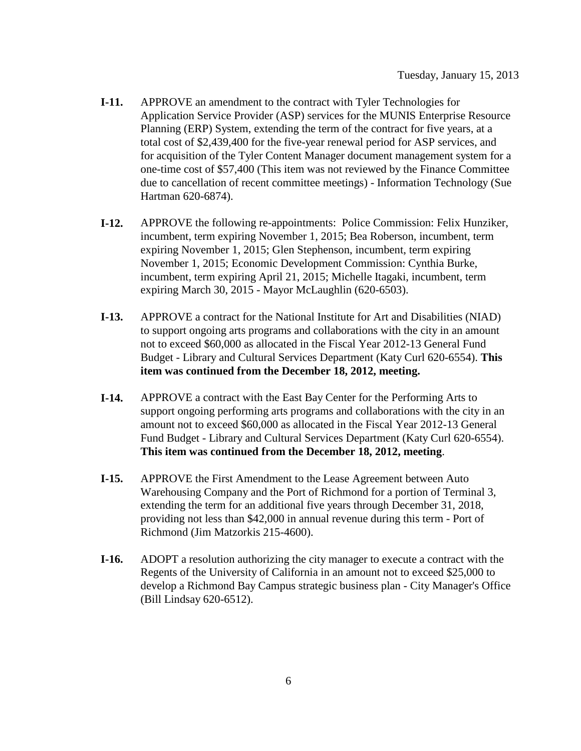- **I-11.** APPROVE an amendment to the contract with Tyler Technologies for Application Service Provider (ASP) services for the MUNIS Enterprise Resource Planning (ERP) System, extending the term of the contract for five years, at a total cost of \$2,439,400 for the five-year renewal period for ASP services, and for acquisition of the Tyler Content Manager document management system for a one-time cost of \$57,400 (This item was not reviewed by the Finance Committee due to cancellation of recent committee meetings) - Information Technology (Sue Hartman 620-6874).
- **I-12.** APPROVE the following re-appointments: Police Commission: Felix Hunziker, incumbent, term expiring November 1, 2015; Bea Roberson, incumbent, term expiring November 1, 2015; Glen Stephenson, incumbent, term expiring November 1, 2015; Economic Development Commission: Cynthia Burke, incumbent, term expiring April 21, 2015; Michelle Itagaki, incumbent, term expiring March 30, 2015 - Mayor McLaughlin (620-6503).
- **I-13.** APPROVE a contract for the National Institute for Art and Disabilities (NIAD) to support ongoing arts programs and collaborations with the city in an amount not to exceed \$60,000 as allocated in the Fiscal Year 2012-13 General Fund Budget - Library and Cultural Services Department (Katy Curl 620-6554). **This item was continued from the December 18, 2012, meeting.**
- **I-14.** APPROVE a contract with the East Bay Center for the Performing Arts to support ongoing performing arts programs and collaborations with the city in an amount not to exceed \$60,000 as allocated in the Fiscal Year 2012-13 General Fund Budget - Library and Cultural Services Department (Katy Curl 620-6554). **This item was continued from the December 18, 2012, meeting**.
- **I-15.** APPROVE the First Amendment to the Lease Agreement between Auto Warehousing Company and the Port of Richmond for a portion of Terminal 3, extending the term for an additional five years through December 31, 2018, providing not less than \$42,000 in annual revenue during this term - Port of Richmond (Jim Matzorkis 215-4600).
- **I-16.** ADOPT a resolution authorizing the city manager to execute a contract with the Regents of the University of California in an amount not to exceed \$25,000 to develop a Richmond Bay Campus strategic business plan - City Manager's Office (Bill Lindsay 620-6512).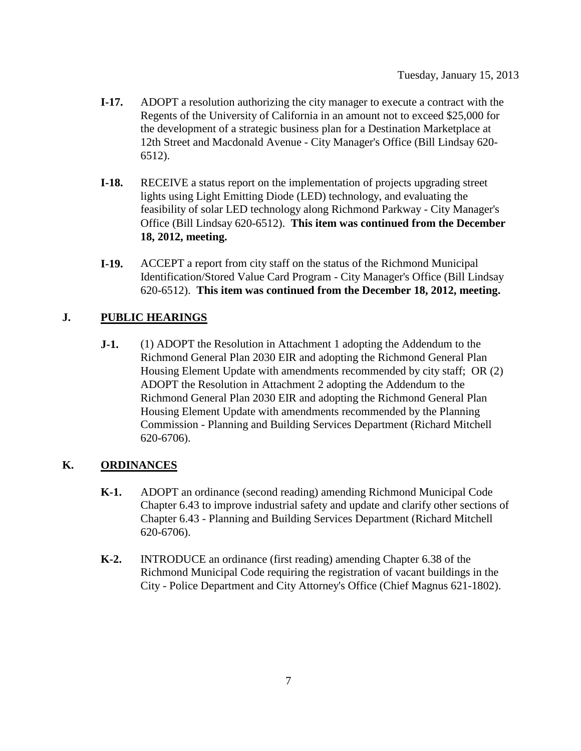- **I-17.** ADOPT a resolution authorizing the city manager to execute a contract with the Regents of the University of California in an amount not to exceed \$25,000 for the development of a strategic business plan for a Destination Marketplace at 12th Street and Macdonald Avenue - City Manager's Office (Bill Lindsay 620- 6512).
- **I-18.** RECEIVE a status report on the implementation of projects upgrading street lights using Light Emitting Diode (LED) technology, and evaluating the feasibility of solar LED technology along Richmond Parkway - City Manager's Office (Bill Lindsay 620-6512). **This item was continued from the December 18, 2012, meeting.**
- **I-19.** ACCEPT a report from city staff on the status of the Richmond Municipal Identification/Stored Value Card Program - City Manager's Office (Bill Lindsay 620-6512). **This item was continued from the December 18, 2012, meeting.**

### **J. PUBLIC HEARINGS**

**J-1.** (1) ADOPT the Resolution in Attachment 1 adopting the Addendum to the Richmond General Plan 2030 EIR and adopting the Richmond General Plan Housing Element Update with amendments recommended by city staff; OR (2) ADOPT the Resolution in Attachment 2 adopting the Addendum to the Richmond General Plan 2030 EIR and adopting the Richmond General Plan Housing Element Update with amendments recommended by the Planning Commission - Planning and Building Services Department (Richard Mitchell 620-6706).

### **K. ORDINANCES**

- **K-1.** ADOPT an ordinance (second reading) amending Richmond Municipal Code Chapter 6.43 to improve industrial safety and update and clarify other sections of Chapter 6.43 - Planning and Building Services Department (Richard Mitchell 620-6706).
- **K-2.** INTRODUCE an ordinance (first reading) amending Chapter 6.38 of the Richmond Municipal Code requiring the registration of vacant buildings in the City - Police Department and City Attorney's Office (Chief Magnus 621-1802).